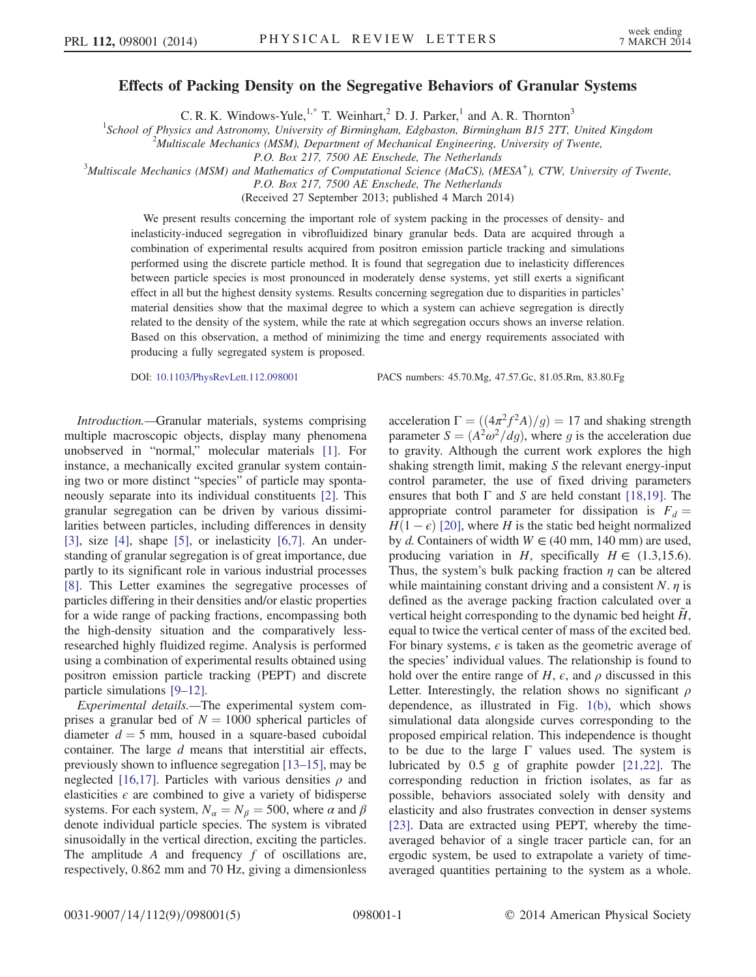## Effects of Packing Density on the Segregative Behaviors of Granular Systems

C. R. K. Windows-Yule,<sup>1[,\\*](#page-4-0)</sup> T. Weinhart,<sup>2</sup> D. J. Parker,<sup>1</sup> and A. R. Thornton<sup>3</sup>

<span id="page-0-0"></span><sup>1</sup>School of Physics and Astronomy, University of Birmingham, Edgbaston, Birmingham B15 2TT, United Kingdom <sup>2</sup>Miltingala Maghanias (MSM). Department of Maghaniael Engineering, University of Twents

 $^2$ Multiscale Mechanics (MSM), Department of Mechanical Engineering, University of Twente,

P.O. Box 217, 7500 AE Enschede, The Netherlands<br><sup>3</sup>Multiscale Mechanics (MSM) and Mathematics of Computational Science (MaCS), (MESA<sup>+</sup>), CTW, University of Twente,

P.O. Box 217, 7500 AE Enschede, The Netherlands

(Received 27 September 2013; published 4 March 2014)

We present results concerning the important role of system packing in the processes of density- and inelasticity-induced segregation in vibrofluidized binary granular beds. Data are acquired through a combination of experimental results acquired from positron emission particle tracking and simulations performed using the discrete particle method. It is found that segregation due to inelasticity differences between particle species is most pronounced in moderately dense systems, yet still exerts a significant effect in all but the highest density systems. Results concerning segregation due to disparities in particles' material densities show that the maximal degree to which a system can achieve segregation is directly related to the density of the system, while the rate at which segregation occurs shows an inverse relation. Based on this observation, a method of minimizing the time and energy requirements associated with producing a fully segregated system is proposed.

DOI: [10.1103/PhysRevLett.112.098001](http://dx.doi.org/10.1103/PhysRevLett.112.098001) PACS numbers: 45.70.Mg, 47.57.Gc, 81.05.Rm, 83.80.Fg

Introduction.—Granular materials, systems comprising multiple macroscopic objects, display many phenomena unobserved in "normal," molecular materials [\[1\]](#page-4-1). For instance, a mechanically excited granular system containing two or more distinct "species" of particle may spontaneously separate into its individual constituents [\[2\].](#page-4-2) This granular segregation can be driven by various dissimilarities between particles, including differences in density [\[3\]](#page-4-3), size  $[4]$ , shape  $[5]$ , or inelasticity  $[6,7]$ . An understanding of granular segregation is of great importance, due partly to its significant role in various industrial processes [\[8\]](#page-4-7). This Letter examines the segregative processes of particles differing in their densities and/or elastic properties for a wide range of packing fractions, encompassing both the high-density situation and the comparatively lessresearched highly fluidized regime. Analysis is performed using a combination of experimental results obtained using positron emission particle tracking (PEPT) and discrete particle simulations [9–[12\].](#page-4-8)

Experimental details.—The experimental system comprises a granular bed of  $N = 1000$  spherical particles of diameter  $d = 5$  mm, housed in a square-based cuboidal container. The large  $d$  means that interstitial air effects, previously shown to influence segregation [13–[15\],](#page-4-9) may be neglected [\[16,17\].](#page-4-10) Particles with various densities  $\rho$  and elasticities  $\epsilon$  are combined to give a variety of bidisperse systems. For each system,  $N_{\alpha} = N_{\beta} = 500$ , where  $\alpha$  and  $\beta$ denote individual particle species. The system is vibrated sinusoidally in the vertical direction, exciting the particles. The amplitude  $A$  and frequency  $f$  of oscillations are, respectively, 0.862 mm and 70 Hz, giving a dimensionless acceleration  $\Gamma = \left( \frac{4\pi^2 f^2 A}{g} \right) = 17$  and shaking strength parameter  $S = (A^2 \omega^2/dq)$ , where g is the acceleration due to gravity. Although the current work explores the high shaking strength limit, making S the relevant energy-input control parameter, the use of fixed driving parameters ensures that both  $\Gamma$  and S are held constant [\[18,19\]](#page-4-11). The appropriate control parameter for dissipation is  $F_d =$  $H(1 - \epsilon)$  [\[20\]](#page-4-12), where H is the static bed height normalized by d. Containers of width  $W \in (40 \text{ mm}, 140 \text{ mm})$  are used, producing variation in H, specifically  $H \in (1.3, 15.6)$ . Thus, the system's bulk packing fraction  $\eta$  can be altered while maintaining constant driving and a consistent  $N$ .  $\eta$  is defined as the average packing fraction calculated over a vertical height corresponding to the dynamic bed height  $H$ , equal to twice the vertical center of mass of the excited bed. For binary systems,  $\epsilon$  is taken as the geometric average of the species' individual values. The relationship is found to hold over the entire range of H,  $\epsilon$ , and  $\rho$  discussed in this Letter. Interestingly, the relation shows no significant  $\rho$ dependence, as illustrated in Fig. [1\(b\)](#page-1-0), which shows simulational data alongside curves corresponding to the proposed empirical relation. This independence is thought to be due to the large  $\Gamma$  values used. The system is lubricated by 0.5 g of graphite powder [\[21,22\].](#page-4-13) The corresponding reduction in friction isolates, as far as possible, behaviors associated solely with density and elasticity and also frustrates convection in denser systems [\[23\]](#page-4-14). Data are extracted using PEPT, whereby the timeaveraged behavior of a single tracer particle can, for an ergodic system, be used to extrapolate a variety of timeaveraged quantities pertaining to the system as a whole.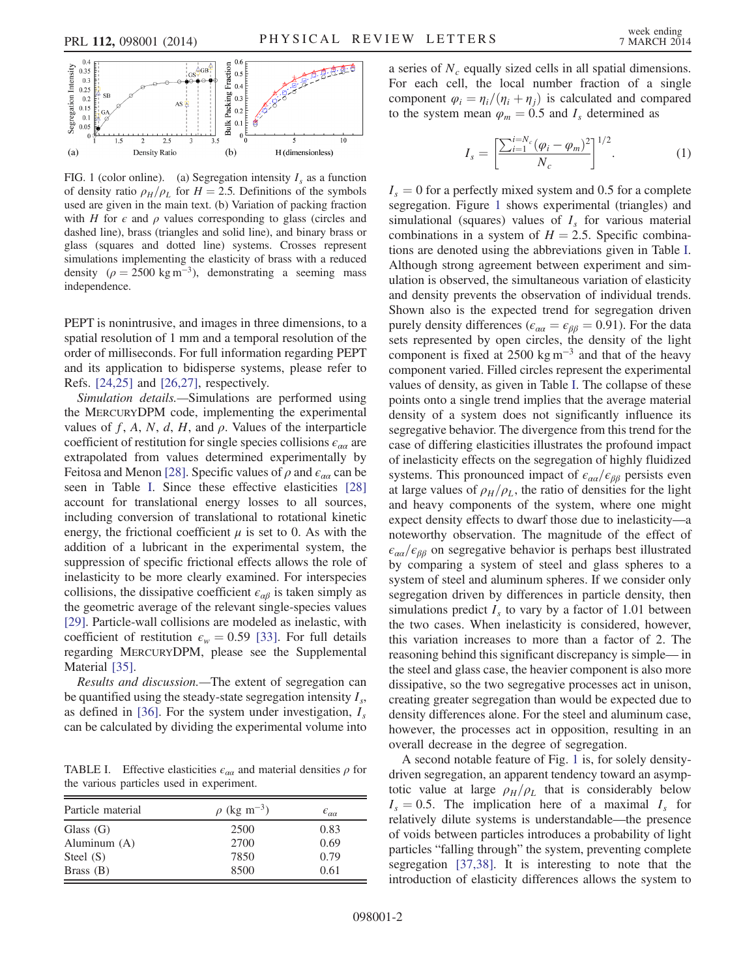<span id="page-1-0"></span>

FIG. 1 (color online). (a) Segregation intensity  $I_s$  as a function of density ratio  $\rho_H/\rho_L$  for  $H = 2.5$ . Definitions of the symbols used are given in the main text. (b) Variation of packing fraction with H for  $\epsilon$  and  $\rho$  values corresponding to glass (circles and dashed line), brass (triangles and solid line), and binary brass or glass (squares and dotted line) systems. Crosses represent simulations implementing the elasticity of brass with a reduced density ( $\rho = 2500 \text{ kg m}^{-3}$ ), demonstrating a seeming mass independence.

PEPT is nonintrusive, and images in three dimensions, to a spatial resolution of 1 mm and a temporal resolution of the order of milliseconds. For full information regarding PEPT and its application to bidisperse systems, please refer to Refs. [\[24,25\]](#page-4-15) and [\[26,27\]](#page-4-16), respectively.

Simulation details.—Simulations are performed using the MERCURYDPM code, implementing the experimental values of f, A, N, d, H, and  $\rho$ . Values of the interparticle coefficient of restitution for single species collisions  $\epsilon_{\alpha\alpha}$  are extrapolated from values determined experimentally by Feitosa and Menon [\[28\]](#page-4-17). Specific values of  $\rho$  and  $\epsilon_{\alpha\alpha}$  can be seen in Table [I](#page-1-1). Since these effective elasticities [\[28\]](#page-4-17) account for translational energy losses to all sources, including conversion of translational to rotational kinetic energy, the frictional coefficient  $\mu$  is set to 0. As with the addition of a lubricant in the experimental system, the suppression of specific frictional effects allows the role of inelasticity to be more clearly examined. For interspecies collisions, the dissipative coefficient  $\epsilon_{\alpha\beta}$  is taken simply as the geometric average of the relevant single-species values [\[29\]](#page-4-18). Particle-wall collisions are modeled as inelastic, with coefficient of restitution  $\epsilon_w = 0.59$  [\[33\].](#page-4-19) For full details regarding MERCURYDPM, please see the Supplemental Material [\[35\].](#page-4-20)

Results and discussion.—The extent of segregation can be quantified using the steady-state segregation intensity  $I_s$ , as defined in [\[36\]](#page-4-21). For the system under investigation,  $I_s$ can be calculated by dividing the experimental volume into

<span id="page-1-1"></span>TABLE I. Effective elasticities  $\epsilon_{\alpha\alpha}$  and material densities  $\rho$  for the various particles used in experiment.

| Particle material | $\rho$ (kg m <sup>-3</sup> ) | $\epsilon_{\alpha\alpha}$ |
|-------------------|------------------------------|---------------------------|
| Glass $(G)$       | 2500                         | 0.83                      |
| Aluminum $(A)$    | 2700                         | 0.69                      |
| Steel $(S)$       | 7850                         | 0.79                      |
| Brass $(B)$       | 8500                         | 0.61                      |

a series of  $N_c$  equally sized cells in all spatial dimensions. For each cell, the local number fraction of a single component  $\varphi_i = \eta_i/(\eta_i + \eta_i)$  is calculated and compared to the system mean  $\varphi_m = 0.5$  and  $I_s$  determined as

$$
I_s = \left[\frac{\sum_{i=1}^{i=N_c} (\varphi_i - \varphi_m)^2}{N_c}\right]^{1/2}.
$$
 (1)

 $I<sub>s</sub> = 0$  for a perfectly mixed system and 0.5 for a complete segregation. Figure [1](#page-1-0) shows experimental (triangles) and simulational (squares) values of  $I<sub>s</sub>$  for various material combinations in a system of  $H = 2.5$ . Specific combinations are denoted using the abbreviations given in Table [I](#page-1-1). Although strong agreement between experiment and simulation is observed, the simultaneous variation of elasticity and density prevents the observation of individual trends. Shown also is the expected trend for segregation driven purely density differences ( $\epsilon_{\alpha\alpha} = \epsilon_{\beta\beta} = 0.91$ ). For the data sets represented by open circles, the density of the light component is fixed at 2500 kg m<sup>-3</sup> and that of the heavy component varied. Filled circles represent the experimental values of density, as given in Table [I.](#page-1-1) The collapse of these points onto a single trend implies that the average material density of a system does not significantly influence its segregative behavior. The divergence from this trend for the case of differing elasticities illustrates the profound impact of inelasticity effects on the segregation of highly fluidized systems. This pronounced impact of  $\epsilon_{\alpha\alpha}/\epsilon_{\beta\beta}$  persists even at large values of  $\rho_H/\rho_L$ , the ratio of densities for the light and heavy components of the system, where one might expect density effects to dwarf those due to inelasticity—a noteworthy observation. The magnitude of the effect of  $\epsilon_{\alpha\alpha}/\epsilon_{\beta\beta}$  on segregative behavior is perhaps best illustrated by comparing a system of steel and glass spheres to a system of steel and aluminum spheres. If we consider only segregation driven by differences in particle density, then simulations predict  $I<sub>s</sub>$  to vary by a factor of 1.01 between the two cases. When inelasticity is considered, however, this variation increases to more than a factor of 2. The reasoning behind this significant discrepancy is simple— in the steel and glass case, the heavier component is also more dissipative, so the two segregative processes act in unison, creating greater segregation than would be expected due to density differences alone. For the steel and aluminum case, however, the processes act in opposition, resulting in an overall decrease in the degree of segregation.

A second notable feature of Fig. [1](#page-1-0) is, for solely densitydriven segregation, an apparent tendency toward an asymptotic value at large  $\rho_H/\rho_L$  that is considerably below  $I_s = 0.5$ . The implication here of a maximal  $I_s$  for relatively dilute systems is understandable—the presence of voids between particles introduces a probability of light particles "falling through" the system, preventing complete segregation [\[37,38\].](#page-4-22) It is interesting to note that the introduction of elasticity differences allows the system to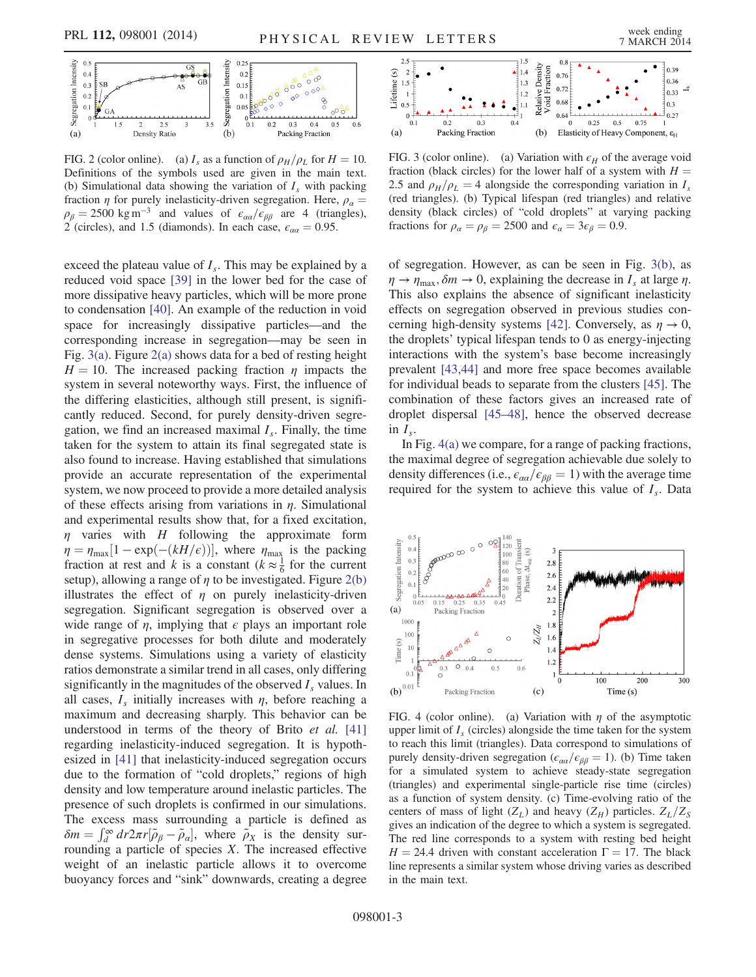<span id="page-2-1"></span>

FIG. 2 (color online). (a)  $I_s$  as a function of  $\rho_H/\rho_L$  for  $H = 10$ . Definitions of the symbols used are given in the main text. (b) Simulational data showing the variation of  $I_s$  with packing fraction  $\eta$  for purely inelasticity-driven segregation. Here,  $\rho_{\alpha} =$  $\rho_{\beta} = 2500 \text{ kg m}^{-3}$  and values of  $\epsilon_{\alpha\alpha}/\epsilon_{\beta\beta}$  are 4 (triangles), 2 (circles), and 1.5 (diamonds). In each case,  $\epsilon_{\alpha\alpha} = 0.95$ .

exceed the plateau value of  $I_s$ . This may be explained by a reduced void space [\[39\]](#page-4-23) in the lower bed for the case of more dissipative heavy particles, which will be more prone to condensation [\[40\]](#page-4-24). An example of the reduction in void space for increasingly dissipative particles—and the corresponding increase in segregation—may be seen in Fig. [3\(a\).](#page-2-0) Figure [2\(a\)](#page-2-1) shows data for a bed of resting height  $H = 10$ . The increased packing fraction  $\eta$  impacts the system in several noteworthy ways. First, the influence of the differing elasticities, although still present, is significantly reduced. Second, for purely density-driven segregation, we find an increased maximal  $I_s$ . Finally, the time taken for the system to attain its final segregated state is also found to increase. Having established that simulations provide an accurate representation of the experimental system, we now proceed to provide a more detailed analysis of these effects arising from variations in  $\eta$ . Simulational and experimental results show that, for a fixed excitation,  $\eta$  varies with H following the approximate form  $\eta = \eta_{\text{max}}[1 - \exp(-(kH/\epsilon))]$ , where  $\eta_{\text{max}}$  is the packing fraction at rest and k is a constant ( $k \approx \frac{1}{6}$  for the current setup), allowing a range of  $\eta$  to be investigated. Figure [2\(b\)](#page-2-1) illustrates the effect of  $\eta$  on purely inelasticity-driven segregation. Significant segregation is observed over a wide range of  $\eta$ , implying that  $\epsilon$  plays an important role in segregative processes for both dilute and moderately dense systems. Simulations using a variety of elasticity ratios demonstrate a similar trend in all cases, only differing significantly in the magnitudes of the observed  $I_s$  values. In all cases,  $I_s$  initially increases with  $\eta$ , before reaching a maximum and decreasing sharply. This behavior can be understood in terms of the theory of Brito et al. [\[41\]](#page-4-25) regarding inelasticity-induced segregation. It is hypothesized in [\[41\]](#page-4-25) that inelasticity-induced segregation occurs due to the formation of "cold droplets," regions of high density and low temperature around inelastic particles. The presence of such droplets is confirmed in our simulations. The excess mass surrounding a particle is defined as  $\delta m = \int_{d}^{\infty} dr 2\pi r [\tilde{\rho}_{\beta} - \tilde{\rho}_{\alpha}],$  where  $\tilde{\rho}_{X}$  is the density surrounding a particle of species X. The increased effective weight of an inelastic particle allows it to overcome buoyancy forces and "sink" downwards, creating a degree

<span id="page-2-0"></span>

FIG. 3 (color online). (a) Variation with  $\epsilon_H$  of the average void fraction (black circles) for the lower half of a system with  $H =$ 2.5 and  $\rho_H/\rho_L = 4$  alongside the corresponding variation in  $I_s$ (red triangles). (b) Typical lifespan (red triangles) and relative density (black circles) of "cold droplets" at varying packing fractions for  $\rho_a = \rho_\beta = 2500$  and  $\epsilon_a = 3\epsilon_\beta = 0.9$ .

of segregation. However, as can be seen in Fig. [3\(b\),](#page-2-0) as  $\eta \rightarrow \eta_{\text{max}}$ ,  $\delta m \rightarrow 0$ , explaining the decrease in  $I_s$  at large  $\eta$ . This also explains the absence of significant inelasticity effects on segregation observed in previous studies con-cerning high-density systems [\[42\].](#page-4-26) Conversely, as  $\eta \to 0$ , the droplets' typical lifespan tends to 0 as energy-injecting interactions with the system's base become increasingly prevalent [\[43,44\]](#page-4-27) and more free space becomes available for individual beads to separate from the clusters [\[45\]](#page-4-28). The combination of these factors gives an increased rate of droplet dispersal [\[45](#page-4-28)–48], hence the observed decrease in  $I_{\rm s}$ .

In Fig. [4\(a\)](#page-2-2) we compare, for a range of packing fractions, the maximal degree of segregation achievable due solely to density differences (i.e.,  $\epsilon_{\alpha\alpha}/\epsilon_{\beta\beta} = 1$ ) with the average time required for the system to achieve this value of  $I_s$ . Data

<span id="page-2-2"></span>

FIG. 4 (color online). (a) Variation with  $\eta$  of the asymptotic upper limit of  $I_s$  (circles) alongside the time taken for the system to reach this limit (triangles). Data correspond to simulations of purely density-driven segregation ( $\epsilon_{\alpha\alpha}/\epsilon_{\beta\beta} = 1$ ). (b) Time taken for a simulated system to achieve steady-state segregation (triangles) and experimental single-particle rise time (circles) as a function of system density. (c) Time-evolving ratio of the centers of mass of light ( $Z_L$ ) and heavy ( $Z_H$ ) particles.  $Z_L/Z_S$ gives an indication of the degree to which a system is segregated. The red line corresponds to a system with resting bed height  $H = 24.4$  driven with constant acceleration  $\Gamma = 17$ . The black line represents a similar system whose driving varies as described in the main text.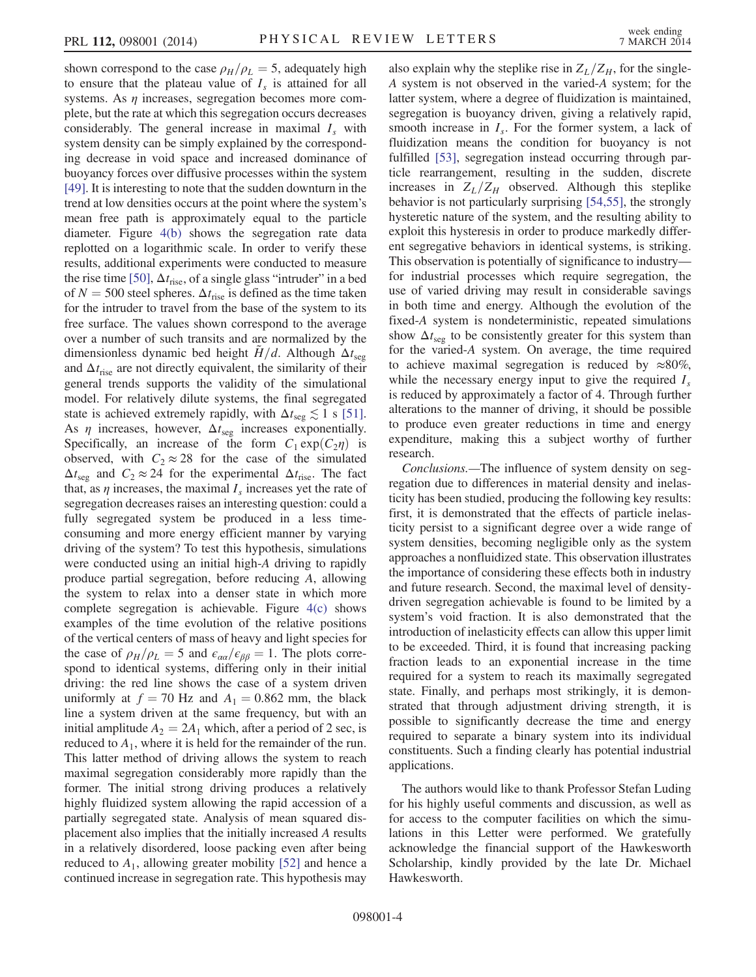shown correspond to the case  $\rho_H/\rho_L = 5$ , adequately high to ensure that the plateau value of  $I<sub>s</sub>$  is attained for all systems. As  $\eta$  increases, segregation becomes more complete, but the rate at which this segregation occurs decreases considerably. The general increase in maximal  $I<sub>s</sub>$  with system density can be simply explained by the corresponding decrease in void space and increased dominance of buoyancy forces over diffusive processes within the system [\[49\]](#page-4-29). It is interesting to note that the sudden downturn in the trend at low densities occurs at the point where the system's mean free path is approximately equal to the particle diameter. Figure [4\(b\)](#page-2-2) shows the segregation rate data replotted on a logarithmic scale. In order to verify these results, additional experiments were conducted to measure the rise time [\[50\],](#page-4-30)  $\Delta t_{\text{rise}}$ , of a single glass "intruder" in a bed of  $N = 500$  steel spheres.  $\Delta t_{\text{rise}}$  is defined as the time taken for the intruder to travel from the base of the system to its free surface. The values shown correspond to the average over a number of such transits and are normalized by the dimensionless dynamic bed height  $H/d$ . Although  $\Delta t_{\text{see}}$ and  $\Delta t_{\text{rise}}$  are not directly equivalent, the similarity of their general trends supports the validity of the simulational model. For relatively dilute systems, the final segregated state is achieved extremely rapidly, with  $\Delta t_{\text{seg}} \lesssim 1 \text{ s } [51]$  $\Delta t_{\text{seg}} \lesssim 1 \text{ s } [51]$ . As  $\eta$  increases, however,  $\Delta t_{\text{seg}}$  increases exponentially. Specifically, an increase of the form  $C_1 \exp(C_2 \eta)$  is observed, with  $C_2 \approx 28$  for the case of the simulated  $\Delta t_{\text{seg}}$  and  $C_2 \approx 24$  for the experimental  $\Delta t_{\text{rise}}$ . The fact that, as  $\eta$  increases, the maximal  $I_s$  increases yet the rate of segregation decreases raises an interesting question: could a fully segregated system be produced in a less timeconsuming and more energy efficient manner by varying driving of the system? To test this hypothesis, simulations were conducted using an initial high-A driving to rapidly produce partial segregation, before reducing A, allowing the system to relax into a denser state in which more complete segregation is achievable. Figure [4\(c\)](#page-2-2) shows examples of the time evolution of the relative positions of the vertical centers of mass of heavy and light species for the case of  $\rho_H/\rho_L = 5$  and  $\epsilon_{\alpha\alpha}/\epsilon_{\beta\beta} = 1$ . The plots correspond to identical systems, differing only in their initial driving: the red line shows the case of a system driven uniformly at  $f = 70$  Hz and  $A_1 = 0.862$  mm, the black line a system driven at the same frequency, but with an initial amplitude  $A_2 = 2A_1$  which, after a period of 2 sec, is reduced to  $A_1$ , where it is held for the remainder of the run. This latter method of driving allows the system to reach maximal segregation considerably more rapidly than the former. The initial strong driving produces a relatively highly fluidized system allowing the rapid accession of a partially segregated state. Analysis of mean squared displacement also implies that the initially increased A results in a relatively disordered, loose packing even after being reduced to  $A_1$ , allowing greater mobility [\[52\]](#page-4-32) and hence a continued increase in segregation rate. This hypothesis may also explain why the steplike rise in  $Z_L/Z_H$ , for the single-A system is not observed in the varied-A system; for the latter system, where a degree of fluidization is maintained, segregation is buoyancy driven, giving a relatively rapid, smooth increase in  $I_s$ . For the former system, a lack of fluidization means the condition for buoyancy is not fulfilled [\[53\],](#page-4-33) segregation instead occurring through particle rearrangement, resulting in the sudden, discrete increases in  $Z_L/Z_H$  observed. Although this steplike behavior is not particularly surprising [\[54,55\]](#page-4-34), the strongly hysteretic nature of the system, and the resulting ability to exploit this hysteresis in order to produce markedly different segregative behaviors in identical systems, is striking. This observation is potentially of significance to industry for industrial processes which require segregation, the use of varied driving may result in considerable savings in both time and energy. Although the evolution of the fixed-A system is nondeterministic, repeated simulations show  $\Delta t_{\text{seg}}$  to be consistently greater for this system than for the varied-A system. On average, the time required to achieve maximal segregation is reduced by  $\approx 80\%$ , while the necessary energy input to give the required  $I_s$ is reduced by approximately a factor of 4. Through further alterations to the manner of driving, it should be possible to produce even greater reductions in time and energy expenditure, making this a subject worthy of further research.

Conclusions.—The influence of system density on segregation due to differences in material density and inelasticity has been studied, producing the following key results: first, it is demonstrated that the effects of particle inelasticity persist to a significant degree over a wide range of system densities, becoming negligible only as the system approaches a nonfluidized state. This observation illustrates the importance of considering these effects both in industry and future research. Second, the maximal level of densitydriven segregation achievable is found to be limited by a system's void fraction. It is also demonstrated that the introduction of inelasticity effects can allow this upper limit to be exceeded. Third, it is found that increasing packing fraction leads to an exponential increase in the time required for a system to reach its maximally segregated state. Finally, and perhaps most strikingly, it is demonstrated that through adjustment driving strength, it is possible to significantly decrease the time and energy required to separate a binary system into its individual constituents. Such a finding clearly has potential industrial applications.

The authors would like to thank Professor Stefan Luding for his highly useful comments and discussion, as well as for access to the computer facilities on which the simulations in this Letter were performed. We gratefully acknowledge the financial support of the Hawkesworth Scholarship, kindly provided by the late Dr. Michael Hawkesworth.